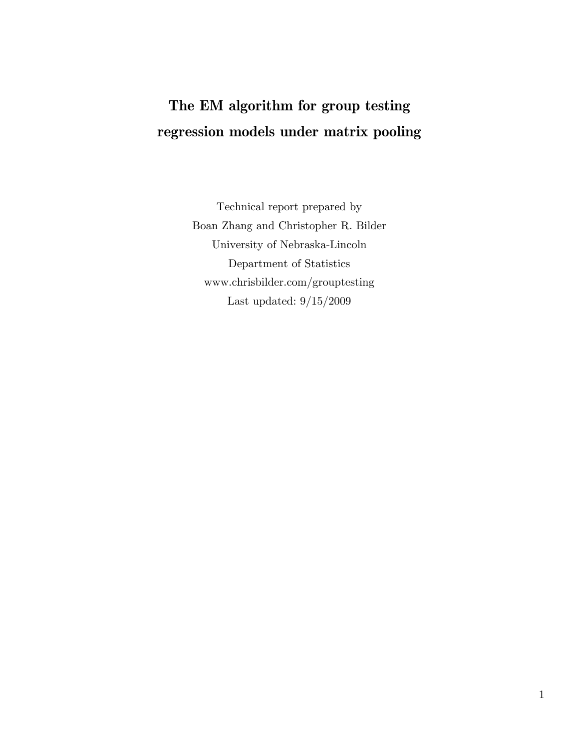## **The EM algorithm for group testing regression models under matrix pooling**

Technical report prepared by Boan Zhang and Christopher R. Bilder University of Nebraska-Lincoln Department of Statistics www.chrisbilder.com/grouptesting Last updated: 9/15/2009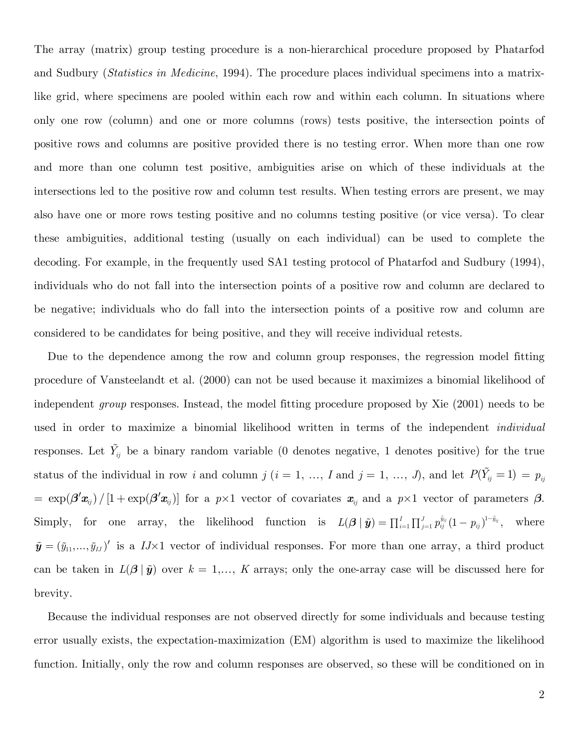The array (matrix) group testing procedure is a non-hierarchical procedure proposed by Phatarfod and Sudbury (*Statistics in Medicine*, 1994). The procedure places individual specimens into a matrixlike grid, where specimens are pooled within each row and within each column. In situations where only one row (column) and one or more columns (rows) tests positive, the intersection points of positive rows and columns are positive provided there is no testing error. When more than one row and more than one column test positive, ambiguities arise on which of these individuals at the intersections led to the positive row and column test results. When testing errors are present, we may also have one or more rows testing positive and no columns testing positive (or vice versa). To clear these ambiguities, additional testing (usually on each individual) can be used to complete the decoding. For example, in the frequently used SA1 testing protocol of Phatarfod and Sudbury (1994), individuals who do not fall into the intersection points of a positive row and column are declared to be negative; individuals who do fall into the intersection points of a positive row and column are considered to be candidates for being positive, and they will receive individual retests.

Due to the dependence among the row and column group responses, the regression model fitting procedure of Vansteelandt et al. (2000) can not be used because it maximizes a binomial likelihood of independent *group* responses. Instead, the model fitting procedure proposed by Xie (2001) needs to be used in order to maximize a binomial likelihood written in terms of the independent *individual* responses. Let  $\tilde{Y}_{ij}$  be a binary random variable (0 denotes negative, 1 denotes positive) for the true status of the individual in row *i* and column *j* (*i* = 1, ..., *I* and *j* = 1, ..., *J*), and let  $P(\tilde{Y}_{ij} = 1) = p_{ij}$  $= \exp(\beta' x_{ij}) / [1 + \exp(\beta' x_{ij})]$  for a  $p \times 1$  vector of covariates  $x_{ij}$  and a  $p \times 1$  vector of parameters  $\beta$ . Simply, for one array, the likelihood function is  $L(\beta | \tilde{y}) = \prod_{i=1}^{I} \prod_{j=1}^{J} p_{ij}^{\tilde{y}_{ij}} (1 - p_{ij})^{1 - \tilde{y}_{ij}}$ , where  $\tilde{\mathbf{y}} = (\tilde{y}_{11},...,\tilde{y}_{IJ})'$  is a *IJ*×1 vector of individual responses. For more than one array, a third product can be taken in  $L(\beta | \tilde{y})$  over  $k = 1,..., K$  arrays; only the one-array case will be discussed here for brevity.

Because the individual responses are not observed directly for some individuals and because testing error usually exists, the expectation-maximization (EM) algorithm is used to maximize the likelihood function. Initially, only the row and column responses are observed, so these will be conditioned on in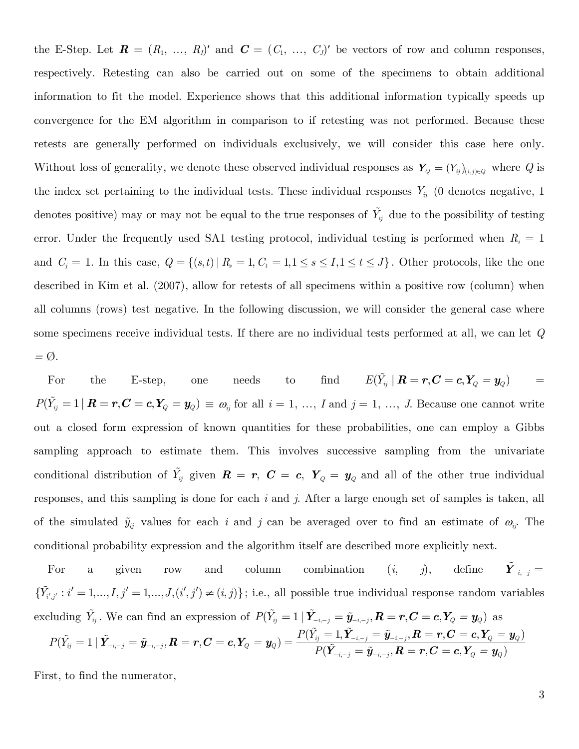the E-Step. Let  $\mathbf{R} = (R_1, \ldots, R_l)'$  and  $\mathbf{C} = (C_1, \ldots, C_l)'$  be vectors of row and column responses, respectively. Retesting can also be carried out on some of the specimens to obtain additional information to fit the model. Experience shows that this additional information typically speeds up convergence for the EM algorithm in comparison to if retesting was not performed. Because these retests are generally performed on individuals exclusively, we will consider this case here only. Without loss of generality, we denote these observed individual responses as  $Y_q = (Y_{ij})_{(i,j)\in Q}$  where Q is the index set pertaining to the individual tests. These individual responses  $Y_{ij}$  (0 denotes negative, 1) denotes positive) may or may not be equal to the true responses of  $\tilde{Y}_{ij}$  due to the possibility of testing error. Under the frequently used SA1 testing protocol, individual testing is performed when  $R_i = 1$ and  $C_j = 1$ . In this case,  $Q = \{(s,t) | R_s = 1, C_t = 1, 1 \le s \le I, 1 \le t \le J\}$ . Other protocols, like the one described in Kim et al. (2007), allow for retests of all specimens within a positive row (column) when all columns (rows) test negative. In the following discussion, we will consider the general case where some specimens receive individual tests. If there are no individual tests performed at all, we can let *Q =* Ø.

For the E-step, one needs to find  $E(\tilde{Y}_{ij} | R = r, C = c, Y_Q = y_Q)$  =  $P(\tilde{Y}_{ij} = 1 | \mathbf{R} = r, \mathbf{C} = c, Y_Q = y_Q) \equiv \omega_{ij}$  for all  $i = 1, ..., I$  and  $j = 1, ..., J$ . Because one cannot write out a closed form expression of known quantities for these probabilities, one can employ a Gibbs sampling approach to estimate them. This involves successive sampling from the univariate conditional distribution of  $\tilde{Y}_{ij}$  given  $\mathbf{R} = \mathbf{r}$ ,  $\mathbf{C} = \mathbf{c}$ ,  $\mathbf{Y}_Q = \mathbf{y}_Q$  and all of the other true individual responses, and this sampling is done for each *i* and *j*. After a large enough set of samples is taken, all of the simulated  $\tilde{y}_{ij}$  values for each *i* and *j* can be averaged over to find an estimate of  $\omega_{ij}$ . The conditional probability expression and the algorithm itself are described more explicitly next.

For a given row and column combination  $(i, j)$ , define  $\tilde{Y}_{-i,-j} =$  $\{\tilde{Y}_{i',j'}: i'=1,\ldots, I, j'=1,\ldots, J, (i',j')\neq (i,j)\};$  i.e., all possible true individual response random variables excluding  $\tilde{Y}_{ij}$ . We can find an expression of  $P(\tilde{Y}_{ij} = 1 | \tilde{Y}_{-i,-j} = \tilde{y}_{-i,-j}, R = r, C = c, Y_Q = y_Q)$  as  $\tilde{y}_{i,-j}=\tilde{y}_{-i,-j}, \boldsymbol{R}=\boldsymbol{r}, \boldsymbol{C}=\boldsymbol{c}, \boldsymbol{Y}_{Q}=\boldsymbol{y}_{Q})=\frac{I+(I_{ij}-1,\boldsymbol{I}_{-i,-j}-\boldsymbol{y}_{-i,j})}{D(\boldsymbol{\tilde{X}}-\boldsymbol{z})}$  $\tilde{P}( \tilde{Y}_{ij} = 1 \: | \: \tilde{\boldsymbol{Y}}_{-i,-j} = \tilde{\boldsymbol{y}}_{-i,-j}, \boldsymbol{R} = \boldsymbol{r}, \boldsymbol{C} = \boldsymbol{c}, \boldsymbol{Y}_{Q} = \boldsymbol{y}_{Q} ) = \frac{P(Y_{ij} = 1, \boldsymbol{Y}_{-i,-j} = \tilde{\boldsymbol{y}}_{-i,-j}, \boldsymbol{R} = \boldsymbol{r}, \boldsymbol{C} = \boldsymbol{c}, \boldsymbol{Y}_{Q} = \boldsymbol{y}_{Q})}{P(\tilde{\boldsymbol{Y}}_{-i,-j} = \tilde{\boldsymbol{y}}_{-i,-j}, \boldsymbol{R} =$  $\bm{y}_{i,-j} = \bm{y}_{-i,-j}, \bm{n} = r, \bm{\cup} = \bm{c}, \bm{r}_Q = \bm{y}_Q$  $P(\tilde{Y}_{ii}=1\mid \tilde{\boldsymbol{Y}}_{-i,-i}=\tilde{\boldsymbol{y}}_{-i,-i}, \boldsymbol{R}=\boldsymbol{r}, \boldsymbol{C}=\boldsymbol{c}, \boldsymbol{Y}_{0}=\boldsymbol{y}_{0}) = \frac{P(Y_{ij}=1,\boldsymbol{Y}_{-i,-j}=\tilde{\boldsymbol{y}}_{-i,-j}, \boldsymbol{R}=\boldsymbol{r}, \boldsymbol{C}=\boldsymbol{c}, \boldsymbol{Y}_{0}=\boldsymbol{y}_{0})}{P(\tilde{Y}_{ij}=1,\boldsymbol{Y}_{-i,-j}=\tilde{\boldsymbol{y}}_{-i,-j}, \boldsymbol{R}=\boldsymbol{r}, \boldsymbol{C}=\boldsymbol{c}, \$  $P(\tilde{\bm{Y}}_{-i,-i}=\tilde{\bm{y}}_{-i,-i}, \bm{R}=\bm{r}, \bm{C}=\bm{c}, \bm{Y}_{O}=\bm{c}$  $\tilde{\mathbf{y}}_{-i,-j}=\tilde{\pmb{y}}_{-i,-j}, \boldsymbol{R}=\boldsymbol{r}, \boldsymbol{C}=\boldsymbol{c}, \boldsymbol{Y}_{Q}=\boldsymbol{y}_{Q})=\frac{I_{-}\left(\boldsymbol{I}_{ij}-1,\boldsymbol{I}_{-i,-j}-\boldsymbol{y}_{-i,-j}\right)}{I_{-i} \sqrt{\tilde{\mathbf{y}}_{i}-\tilde{\mathbf{x}}_{j}-\tilde{\mathbf{x}}_{j}-\tilde{\mathbf{x}}_{j}}},$  $\tilde{Y}_{ij} = 1 \,|\, \tilde{\pmb{Y}}_{-i,-j} = \tilde{\pmb{y}}_{-i,-j}, \pmb{R} = \pmb{r}, \pmb{C} = \pmb{c}, \pmb{Y}_Q = \pmb{y}_Q) = \frac{P(\tilde{Y}_{ij} = 1, \tilde{\pmb{Y}}_{-i,-j} = \tilde{\pmb{y}}_{-i,-j}, \pmb{R} = \pmb{r}, \pmb{C} = \pmb{c}, \pmb{Y}_Q = \pmb{y}_Q)}{P(\tilde{\pmb{Y}}_{-i,-j} = \tilde{\pmb{y}}_{-i,-j}, \pmb{R} = \p$ 

First, to find the numerator,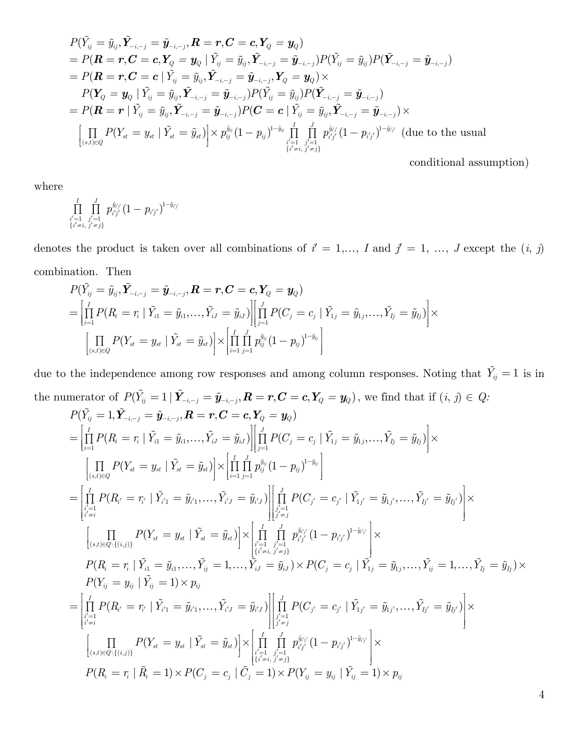$$
P(\tilde{Y}_{ij} = \tilde{y}_{ij}, \tilde{Y}_{-i,-j} = \tilde{y}_{-i,-j}, R = r, C = c, Y_Q = y_Q)
$$
  
=  $P(R = r, C = c, Y_Q = y_Q | \tilde{Y}_{ij} = \tilde{y}_{ij}, \tilde{Y}_{-i,-j} = \tilde{y}_{-i,-j}) P(\tilde{Y}_{ij} = \tilde{y}_{ij}) P(\tilde{Y}_{-i,-j} = \tilde{y}_{-i,-j})$   
=  $P(R = r, C = c | \tilde{Y}_{ij} = \tilde{y}_{ij}, \tilde{Y}_{-i,-j} = \tilde{y}_{-i,-j}, Y_Q = y_Q) \times$   
 $P(Y_Q = y_Q | \tilde{Y}_{ij} = \tilde{y}_{ij}, \tilde{Y}_{-i,-j} = \tilde{y}_{-i,-j}) P(\tilde{Y}_{ij} = \tilde{y}_{ij}) P(\tilde{Y}_{-i,-j} = \tilde{y}_{-i,-j})$   
=  $P(R = r | \tilde{Y}_{ij} = \tilde{y}_{ij}, \tilde{Y}_{-i,-j} = \tilde{y}_{-i,-j}) P(C = c | \tilde{Y}_{ij} = \tilde{y}_{ij}, \tilde{Y}_{-i,-j} = \tilde{y}_{-i,-j}) \times$   

$$
\left[ \prod_{(s,t) \in Q} P(Y_{st} = y_{st} | \tilde{Y}_{st} = \tilde{y}_{st}) \right] \times p_{ij}^{\tilde{y}_{ij}} (1 - p_{ij})^{1 - \tilde{y}_{ij}} \prod_{\substack{i'=1, j'=1 \\ \{i' \neq i, j' \neq j\}}}^{I} p_{i'j'}^{\tilde{y}_{i'j'}} (1 - p_{i'j'})^{1 - \tilde{y}_{i'j'}} \quad \text{(due to the usual}
$$

conditional assumption)

where

$$
\prod\limits_{\substack{i'=1 \\ i' \neq i,\; j' \neq j}} \textstyle\prod\limits_{\substack{j'=1 \\ j' \neq j}}^J p_{i'j'}^{ \tilde{y}_{i'j'}} (1-p_{i'j'})^{1-\tilde{y}_{i'j'}}
$$

denotes the product is taken over all combinations of  $i' = 1, ..., I$  and  $j' = 1, ..., J$  except the  $(i, j)$ combination. Then

$$
P(\tilde{Y}_{ij} = \tilde{y}_{ij}, \tilde{Y}_{-i,-j} = \tilde{y}_{-i,-j}, R = r, C = c, Y_Q = y_Q)
$$
\n
$$
= \left| \prod_{i=1}^{I} P(R_i = r_i \mid \tilde{Y}_{i1} = \tilde{y}_{i1}, \ldots, \tilde{Y}_{iJ} = \tilde{y}_{iJ}) \right| \left| \prod_{j=1}^{J} P(C_j = c_j \mid \tilde{Y}_{1j} = \tilde{y}_{1j}, \ldots, \tilde{Y}_{Ij} = \tilde{y}_{Ij}) \right| \times \left| \prod_{(s,t) \in Q} P(Y_{st} = y_{st} \mid \tilde{Y}_{st} = \tilde{y}_{st}) \right| \times \left| \prod_{i=1}^{I} \prod_{j=1}^{J} p_{ij}^{\tilde{y}_{ij}} (1 - p_{ij})^{1 - \tilde{y}_{ij}} \right|
$$

due to the independence among row responses and among column responses. Noting that  $\tilde{Y}_{ij} = 1$  is in the numerator of  $P(\tilde{Y}_{ij} = 1 | \tilde{Y}_{-i,-j} = \tilde{y}_{-i,-j}, R = r, C = c, Y_Q = y_Q)$ , we find that if  $(i, j) \in Q$ :  $P(\tilde{Y}_{ij}=1,\tilde{\boldsymbol{Y}}_{-i,-j}=\tilde{\boldsymbol{y}}_{-i,-j}, \boldsymbol{R}=\boldsymbol{r},\boldsymbol{C}=\boldsymbol{c}, \boldsymbol{Y}_{Q}=\boldsymbol{y}_{Q})$ 11 11 1 1 1  $(s,t) \in Q$   $i=1$   $j=1$  $\left\| \prod_{i=1}^{I} P(R_i = r_i \mid \tilde{Y}_{i1} = \tilde{y}_{i1}, \ldots, \tilde{Y}_{iJ} = \tilde{y}_{iJ}) \right\| \prod_{i=1}^{J} P(C_i = c_i \mid \tilde{Y}_{1i} = \tilde{y}_{1i}, \ldots, \tilde{Y}_{ji} = \tilde{y}_{jij}).$  $\left(Y_{st}=y_{st}\mid \tilde{Y}_{st}=\tilde{y}_{st}\right) \rvert \times \left\lvert \prod\limits_{I}^I \prod\limits_{I}^J p_{ii}^{\tilde{y}_{ij}}(1-p_{ii})^{1-\tilde{y}_{ij}} \right\rvert$  $\prod\limits_{i=1}^I I_{j} \left( \mathbf{1} t_i - t_i \mid \mathbf{1}_{i1} = g_{i1}, \ldots, \mathbf{1}_{iJ} = g_{iJ} \right) \bigg| \prod\limits_{j=1}^I I_{j} \left( \mathbf{\hat{C}}_j - \mathbf{\hat{C}}_j \mid \mathbf{1}_{1j} = g_{1j}, \ldots, \mathbf{1}_{J} = g_{Ij} \right)$  $\left\{ \prod_{s,t\in Q} I_{s,t} = y_{st} \mid I_{st} = y_{st} \right\} \right\} \sim \left\{ \prod_{i=1}^{1} \prod_{j=1}^{N_i} p_{ij} \right\} \left( 1 - p_{ij} \right)$  $P(R_i = r_i | \hat{Y}_{i1} = \tilde{y}_{i1},..., \hat{Y}_{iJ} = \tilde{y}_{iJ}) || \prod P(C_i = c_i | \hat{Y}_{1i} = \tilde{y}_{1i},..., \hat{Y}_{Ji} = \tilde{y}_{iJ}$  $P(Y_{st}=y_{st}\mid \tilde{Y}_{st}=\tilde{y}_{st})\big|\times\big|\prod\limits_{1}^{\tau}\prod\limits_{1}^{\tilde{y}_{ij}}p_{ii}^{\tilde{y}_{ij}}(1-p_{ii})^{1-\tilde{y}_{it}}\big|$  $=$ 1  $\|$   $j=$  $\left[\prod\limits_{(s,t)\in Q} P(Y_{st}=y_{st}\mid \tilde{Y}_{st}=\tilde{y}_{st})\right]\times \left[\prod\limits_{i=1}^{I}\prod\limits_{j=1}^{J}p_{ij}^{\tilde{y}_{ij}}(1-p_{ij})^{1-\tilde{y}_{ij}}\right]$  $\begin{bmatrix} I & & & & \tilde{V} & \tilde{V} & \tilde{V} & \tilde{V} & \tilde{V} & \tilde{V} & \tilde{V} & \tilde{V} & \tilde{V} & \tilde{V} & \tilde{V} & \tilde{V} & \tilde{V} & \tilde{V} & \tilde{V} & \tilde{V} & \tilde{V} & \tilde{V} & \tilde{V} & \tilde{V} & \tilde{V} & \tilde{V} & \tilde{V} & \tilde{V} & \tilde{V} & \tilde{V} & \tilde{V} & \tilde{V} & \tilde{V} & \tilde{V}$  $=\left|\prod\limits_{i=1}^I P(R_i=r_i\mid \tilde{Y}_{i1}=\tilde{y}_{i1},...,\tilde{Y}_{iJ}=\tilde{y}_{iJ})\right|\left|\prod\limits_{j=1}^J P(C_j=c_j\mid \tilde{Y}_{1j}=\tilde{y}_{1j},...,\tilde{Y}_{Ij}=\tilde{y}_{Ij})\right|\times$  $\left\{ \left\{ \left. \mathbf{1}_{i} \right| \left. \mathbf{1}_{i} \right| \left. \mathbf{1}_{i} \right| \left. \mathbf{1}_{i} \right| \left. \mathbf{1}_{i} \right| \right\} = \left. y_{i} \right| , \ldots , \left\{ \left. \mathbf{1}_{i} \right| \left. \mathbf{1}_{j} \right| \left. \mathbf{1}_{j} \right| \left. \mathbf{1}_{j} \right| \left. \mathbf{1}_{j} \right| \left. \mathbf{1}_{j} \right| \left. \mathbf{1}_{j} \right| \right\} = \left\{ \left. y_{i} \right| \$ 1  $(s,t) \in Q \setminus \{(i,j)\}$   $\qquad \qquad \frac{i'=1}{\{i'\neq i, j'\neq j\}}$  $\left\{ \prod\limits_{i=1}^{I} P(R_{i^{'}} = r_{i^{'}} \mid \tilde{Y}_{i^{'1}} = \tilde{y}_{i^{'1}}, \ldots, \tilde{Y}_{i^{'J}} = \tilde{y}_{i^{'J}}) \right\} \right\} \left\| \prod\limits_{i=1}^{J} P(C_{i^{'}} = c_{i^{'}} \mid \tilde{Y}_{1i^{'}} = \tilde{y}_{1i^{'}}, \ldots, \tilde{Y}_{Ii^{'}} = \tilde{y}_{Ii^{'}}) \right\|$  $\left[ \quad \ \ \Pi \quad P(Y_{_{st}}=y_{_{st}} \mid \tilde{Y}_{_{st}}=\tilde{y}_{_{st}}) \right] \times \left[ \begin{array}{cc} I & J \ \Pi & \Pi & p_{_{j',j'}}^{ \tilde{y}_{t'j'}} (1-p_{_{j',j'}})^{1-\tilde{y}_{t'j'}} \end{array} \right]$  $\prod\limits_{\substack{i'=1 \ i \neq i}}^{j-1} I \left( \mathbf{1} l_{i'} = \tau_{i'} \mid \mathbf{1}_{i'1} = y_{i'1}, \dots, \mathbf{1}_{i'J} = y_{i'J} \right) \left| \prod\limits_{\substack{j'=1 \ j' \neq j}}^{j-1} I \left( \mathbf{C}_{j'} = c_{j'} \mid \mathbf{1}_{1j'} = y_{1j'}, \dots, \mathbf{1}_{Ij'} = y_{Ij'} \right) \right|$  $\left[\prod_{\substack{s,t \in Q\setminus\{(i,j)\}}} I_{\setminus 1} \left( \textbf{\textit{1}}_{st} \: - \: y_{st} \: | \: 1_{st} \: - \: y_{st} \right) \right] \sim \left|\prod_{\substack{i'=1 \\ \{i'=i,\:j'=j\}}} \prod_{\substack{j'=1 \\ j'=j}} I_{i'j'} \left( \textbf{\textit{1}} - \: P_{i'j} \right) \right|$  $\prod_{j=1 \atop j \neq i} P(R_{i'} = r_{i'} \mid \tilde{Y}_{i'1} = \tilde{y}_{i'1}, \dots, \tilde{Y}_{i'J} = \tilde{y}_{i'J}) \bigg| \prod_{\substack{j'=1 \ j' \neq j}} P(C_{j'} = c_{j'} \mid \tilde{Y}_{1j'} = \tilde{y}_{1j'}, \dots, \tilde{Y}_{Ij'} = \tilde{y}_{Ij'}$  $\left[ \prod_{(s,t) \in Q \setminus \{(i,j)\}} P(Y_{st} = y_{st} \mid \tilde{Y}_{st} = \tilde{y}_{st}) \right] \times \left| \prod_{\substack{i'=1 \\ \{i' \neq i,\ j' \neq j\}}}^{I} \prod_{j'=1 \atop j' \neq j}^{ \tilde{y}_{i'j'}} (1 - p_{i'j'})^{1 - \tilde{y}_{i'j'}}$ é ùé ù  $\mathcal{L} = \left| \prod \, P(R_{i'} = r_{i'} \mid Y_{i'1} = \tilde{y}_{i'1}, \ldots, Y_{i'J} = \tilde{y}_{i'J}) \right| \left| \prod \, P(C_{j'} = c_{j'} \mid Y_{1j'} = \tilde{y}_{1j'}, \ldots, Y_{Ij'} = \tilde{y}_{Ij'}) \right| \times$  $\lfloor i' \neq i \rfloor$  $\tilde{Y}_{i'1} = \tilde{y}_{i'1}, \ldots, \tilde{Y}_{i'J} = \tilde{y}_{i'J}) \big|\big|\stackrel{j}{\prod} P(C_{i'} = c_{i'} \mid \tilde{Y}_{1i'} = \tilde{y}_{1i'}, \ldots, \tilde{Y}_{Ii'} = \tilde{y}_{1i'}).$  $i'=1$ <br> $\{i'\neq i,$  $P(R_i = r_i \mid \tilde{Y}_{i1} = \tilde{y}_{i1}, \dots, \tilde{Y}_{ij} = 1, \dots, \dot{\tilde{Y}}_{iJ} = \tilde{y}_{iJ}) \times P(C_j = c_j \mid \tilde{Y}_{1j} = \tilde{y}_{1j}, \dots, \tilde{Y}_{ij} = 1, \dots, \tilde{Y}_{Ij} = \tilde{y}_{Ij}) \times$  $P(Y_{ij} = y_{ij} \mid \tilde{Y}_{ij} = 1) \times p_{ij}$ *I i'* = 1<br>{*i'* ≠ *i*  $\left\lceil \begin{array}{ll} \frac{I}{\prod} & \frac{J}{\prod} & p^{\tilde{y}_{i'j'}}(1-p_{i'j'})^{1-\tilde{y}_{i'j'}} \end{array} \right\rceil \times$  $\{i' \neq i, j' \neq j\}$  $\left\| \begin{array}{l} \left[ T \left( R_{i'} - T_{i'} \mid T_{i' 1} = g_{i' 1}, \ldots, T_{i' J} = g_{i' J} \right) \right| \left| \begin{array}{l} \left[ \left[ T \mid T \left( \nabla_{j'} - C_{j'} \mid T_{1 j'} = g_{1} \right) \right] \right] \ \left| \begin{array}{l} \left[ T_{i'} - T_{i'} \mid T_{i'} = g_{1} \right] \end{array} \right| \end{array} \right.$ 1  $(s,t) \in Q \setminus \{(i,j)\}$   $\qquad \qquad \qquad \frac{1}{\{i' \neq i, j' \neq j\}}$  $\left\{ \prod\limits_{i=1}^{I} P(R_{i^{'}} = r_{i^{'}} \mid \tilde{Y}_{i^{'1}} = \tilde{y}_{i^{'1}}, \ldots, \tilde{Y}_{i^{'J}} = \tilde{y}_{i^{'J}}) \right\} \right\vert \left\vert \prod\limits_{i=1}^{J} P(C_{i^{'}} = c_{i^{'}} \mid \tilde{Y}_{1i^{'}} = \tilde{y}_{1i^{'}}, \ldots, \tilde{Y}_{Ii^{'}} = \tilde{y}_{Ii^{'}}) \right\vert$  $\left[ \quad \ \ \Pi \quad P(Y_{st}=y_{st}\mid \tilde{Y}_{st}=\tilde{y}_{st}) \big] \times \right] \frac{I}{\prod} \; \; \frac{J}{\prod} \; \; p_{i'i'}^{\tilde{y}_{t'j'}} (1-p_{i'i'})^{1-\tilde{y}_{t'j'}}$  $\prod_{\substack{i'=1 \ i \neq i}}^{i} I \left( I t_{i'} = t_{i'} \mid I_{i'1} = g_{i'1}, \dots, I_{i'J} = g_{i'J} \right) \left| \prod_{\substack{j'=1 \ j' \neq j}}^{i} I \left( \cup_{j'} = c_{j'} \mid I_{1j'} = g_{1j'}, \dots, I_{Jj'} = g_{Ij'} \right) \right|$  $\left[\prod_{\substack{s,t \in Q\setminus\{(i,j)\}}} I_{\bullet}(I_{st} = y_{st} \mid I_{st} = y_{st}) \right] \sim \left|\prod_{\substack{i'=1 \\ i' = i, j' = j}} \prod_{\substack{j'=1 \\ j' = j}} I_{i'j'} \left(1 - P_{i'j'} \right) \right|$  $\prod_{\substack{j=1 \ \neq i}} P(R_{i'}=r_{i'} \mid Y_{i'1}=\widetilde{y}_{i'1}, \dots, Y_{i'J}=\widetilde{y}_{i'J}) \bigg| \prod_{\substack{j'=1 \ j' \neq j}} P(C_{j'}=c_{j'} \mid Y_{1j'}=\widetilde{y}_{1j'}, \dots, Y_{Ij'}=\widetilde{y}_{Ij'}$  $\left[\prod_{(s,t) \in Q \setminus \{(i,j)\}} P(Y_{st}=y_{st} \mid \tilde{Y}_{st}=\tilde{y}_{st})\right] \times \left|\prod_{\substack{i'=1 \\ \{i' \neq i,\ j' \neq j\}}}^{I} p^{\tilde{y}_{i'j'}}_{i'j'} (1-p_{i'j'})^{1-\tilde{y}_{i'j'}}$ é ùé ù  $\mathcal{I} = \left| \prod\limits_i P(R_{i'} = r_{i'} \mid Y_{i'1} = \tilde{y}_{i'1}, \dots, Y_{i'J} = \tilde{y}_{i'J}) \right| \left| \prod\limits_i P(C_{j'} = c_{j'} \mid Y_{1j'} = \tilde{y}_{1j'}, \dots, Y_{Ij'} = \tilde{y}_{Ij'}) \right| \times$  $\iota^{i' \neq i}$  $\tilde{Y}_{i'1} = \tilde{y}_{i'1}, \dots, \tilde{Y}_{i'J} = \tilde{y}_{i'J}) \big|\big|\stackrel{j}{\prod} P(C_{i'} = c_{i'} \mid \tilde{Y}_{1i'} = \tilde{y}_{1i'}, \dots, \tilde{Y}_{Ii'} = \tilde{y}_{1i'}).$  $i'=1$ <br> $\{i'\neq i,$  $P(R_i=r_i \mid \tilde{R_i}=1) \times P(C_j=c_j \mid \tilde{C_j}=1) \times P(Y_{ij}=y_{ij} \mid \tilde{Y_{ij}}=1) \times p_{ij}$ *I i'* =1<br>{*i'* ≠*i*  $\left\lceil \begin{array}{cc} \frac{I}{\prod} & \frac{J}{\prod} & p_{i'j'}^{\tilde{y}_{i'j'}} \big(1-p_{i'j'}\big)^{1-\tilde{y}_{i'j'}} \end{array} \right\rceil \times$  $\left\{i' \neq i, j' \neq j\right\}$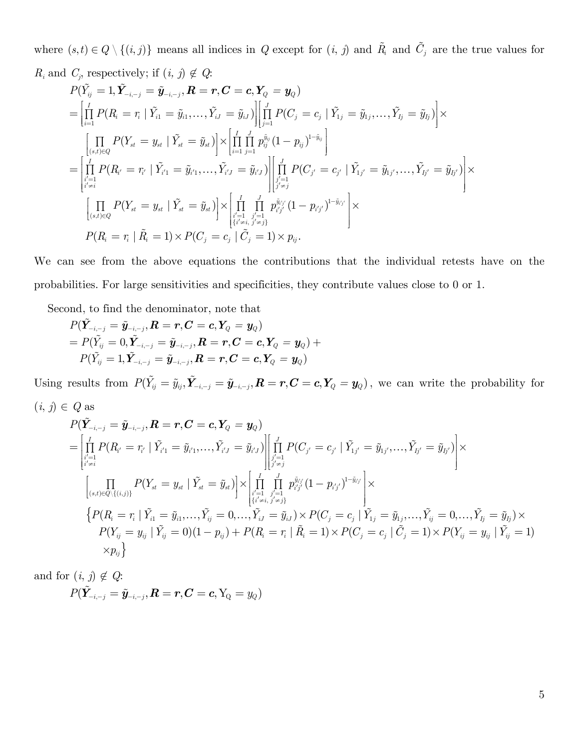where  $(s,t) \in Q \setminus \{(i,j)\}\)$  means all indices in *Q* except for  $(i, j)$  and  $\tilde{R}_i$  and  $\tilde{C}_j$  are the true values for

 $R_i$  and  $C_j$ , respectively; if  $(i, j) \notin Q$ :

$$
P(\tilde{Y}_{ij} = 1, \tilde{Y}_{-i,-j} = \tilde{y}_{-i,-j}, R = r, C = c, Y_Q = y_Q)
$$
\n
$$
= \left| \prod_{i=1}^{I} P(R_i = r_i \mid \tilde{Y}_{i1} = \tilde{y}_{i1}, \dots, \tilde{Y}_{iJ} = \tilde{y}_{iJ}) \right| \left| \prod_{j=1}^{J} P(C_j = c_j \mid \tilde{Y}_{1j} = \tilde{y}_{1j}, \dots, \tilde{Y}_{Jj} = \tilde{y}_{Jj}) \right| \times \left| \prod_{(s,t) \in Q} P(Y_{st} = y_{st} \mid \tilde{Y}_{st} = \tilde{y}_{st}) \right| \times \left| \prod_{i=1}^{I} \prod_{j=1}^{J} p_{ij}^{\tilde{y}_{ij}} (1 - p_{ij})^{1 - \tilde{y}_{ij}} \right|
$$
\n
$$
= \left| \prod_{\substack{i'=1 \\ i \neq i}}^{I} P(R_{i'} = r_{i'} \mid \tilde{Y}_{i'1} = \tilde{y}_{i'1}, \dots, \tilde{Y}_{i'J} = \tilde{y}_{i'J}) \right| \left| \prod_{\substack{j'=1 \\ j' \neq j}}^{J} P(C_{j'} = c_{j'} \mid \tilde{Y}_{1j'} = \tilde{y}_{1j'}, \dots, \tilde{Y}_{1j'} = \tilde{y}_{1j'}) \right| \times \left| \prod_{\substack{j'=1 \\ j' \neq j}}^{J} P(C_{j'} = c_{j'} \mid \tilde{Y}_{1j'} = \tilde{y}_{1j'}, \dots, \tilde{Y}_{1j'} = \tilde{y}_{1j'}) \right| \times \left| \prod_{\substack{(s,t) \in Q \\ \{i' \neq i, j' \neq j\}}^{J} p_{i'j'}^{\tilde{y}_{i'j'}} (1 - p_{i'j'})^{1 - \tilde{y}_{i'j'}} \right| \times
$$
\n
$$
P(R_i = r_i \mid \tilde{R}_i = 1) \times P(C_j = c_j \mid \tilde{C}_j = 1) \times p_{ij}.
$$

We can see from the above equations the contributions that the individual retests have on the probabilities. For large sensitivities and specificities, they contribute values close to 0 or 1.

Second, to find the denominator, note that

$$
\begin{aligned} &P(\tilde{\bm{Y}}_{-i,-j}=\tilde{\bm{y}}_{-i,-j}, \bm{R}=\bm{r}, \bm{C}=\bm{c}, \bm{Y}_{Q}=\bm{y}_{Q}) \\ &=P(\tilde{Y}_{ij}=0,\tilde{\bm{Y}}_{-i,-j}=\tilde{\bm{y}}_{-i,-j}, \bm{R}=\bm{r}, \bm{C}=\bm{c}, \bm{Y}_{Q}=\bm{y}_{Q})+ \\ &P(\tilde{Y}_{ij}=1,\tilde{\bm{Y}}_{-i,-j}=\tilde{\bm{y}}_{-i,-j}, \bm{R}=\bm{r}, \bm{C}=\bm{c}, \bm{Y}_{Q}=\bm{y}_{Q}) \end{aligned}
$$

Using results from  $P(\tilde{Y}_{ij} = \tilde{y}_{ij}, \tilde{Y}_{-i,-j} = \tilde{y}_{-i,-j}, R = r, C = c, Y_Q = y_Q)$ , we can write the probability for

$$
(i, j) \in Q \text{ as}
$$
\n
$$
P(\tilde{Y}_{-i,-j} = \tilde{y}_{-i,-j}, \mathbf{R} = \mathbf{r}, \mathbf{C} = \mathbf{c}, \mathbf{Y}_Q = \mathbf{y}_Q)
$$
\n
$$
= \left| \prod_{\substack{i'=1 \\ i' \neq i}}^{I} P(R_{i'} = r_{i'} \mid \tilde{Y}_{i'1} = \tilde{y}_{i'1}, \dots, \tilde{Y}_{i'J} = \tilde{y}_{i'J}) \right| \left| \prod_{\substack{j'=1 \\ j' \neq j}}^{J} P(C_{j'} = c_{j'} \mid \tilde{Y}_{1j'} = \tilde{y}_{1j'}, \dots, \tilde{Y}_{Ij'} = \tilde{y}_{Ij'}) \right| \times \left| \prod_{\substack{j'=1 \\ j' \neq j}}^{J} P(C_{j'} = c_{j'} \mid \tilde{Y}_{1j'} = \tilde{y}_{1j'}, \dots, \tilde{Y}_{Ij'} = \tilde{y}_{Ij'}) \right| \times \left| \prod_{\substack{(s,t) \in Q \setminus \{(i,j)\}}}^{J} P(Y_{st} = y_{st} \mid \tilde{Y}_{st} = \tilde{y}_{st}) \right| \times \left| \prod_{\substack{i'=1 \\ i' \neq i, j' \neq j}}^{J} p_{i'j'}^{ij} (1 - p_{i'j'})^{1 - \tilde{y}_{i'j'}} \right| \times \left\{ P(R_i = r_i \mid \tilde{Y}_{i1} = \tilde{y}_{i1}, \dots, \tilde{Y}_{ij} = 0, \dots, \tilde{Y}_{iJ} = \tilde{y}_{iJ}) \times P(C_j = c_j \mid \tilde{Y}_{1j} = \tilde{y}_{1j}, \dots, \tilde{Y}_{ij} = 0, \dots, \tilde{Y}_{Ij} = \tilde{y}_{Ij}) \times P(Y_{ij} = y_{ij} \mid \tilde{Y}_{ij} = 0)(1 - p_{ij}) + P(R_i = r_i \mid \tilde{R}_i = 1) \times P(C_j = c_j \mid \tilde{C}_j = 1) \times P(Y_{ij} = y_{ij} \mid \tilde{Y}_{ij} = 1) \times P_{ij}
$$

and for  $(i, j) \notin Q$ :

$$
P(\tilde{\boldsymbol{Y}}_{-i,-j}=\tilde{\boldsymbol{y}}_{-i,-j}, \boldsymbol{R}=\boldsymbol{r}, \boldsymbol{C}=\boldsymbol{c}, \mathrm{Y}_{\mathrm{Q}}=\boldsymbol{y}_{\mathrm{Q}})
$$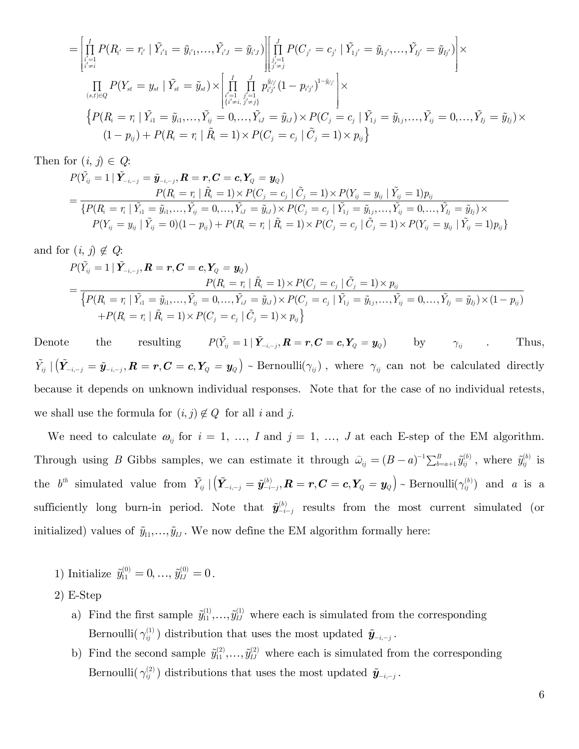$$
= \left[ \prod_{\substack{i'=1 \ i \neq i}}^{I} P(R_{i'} = r_{i'} | \tilde{Y}_{i'1} = \tilde{y}_{i'1},..., \tilde{Y}_{i'J} = \tilde{y}_{i'J}) \right] \left[ \prod_{\substack{j'=1 \ j \neq j}}^{J} P(C_{j'} = c_{j'} | \tilde{Y}_{1j'} = \tilde{y}_{1j'},..., \tilde{Y}_{Ij'} = \tilde{y}_{Ij'} ) \right] \times \n\prod_{(s,t) \in Q} P(Y_{st} = y_{st} | \tilde{Y}_{st} = \tilde{y}_{st}) \times \left[ \prod_{\substack{i'=1 \ i' \neq i, j' = 1}}^{I} \prod_{j'=1 \ i' \neq j}^{j} p_{i'j'}^{i'j'} (1 - p_{i'j'})^{1 - \tilde{y}_{i'j'}} \right] \times \n\left\{ P(R_{i} = r_{i} | \tilde{Y}_{i1} = \tilde{y}_{i1},..., \tilde{Y}_{ij} = 0,..., \tilde{Y}_{iJ} = \tilde{y}_{iJ}) \times P(C_{j} = c_{j} | \tilde{Y}_{1j} = \tilde{y}_{1j},..., \tilde{Y}_{ij} = 0,..., \tilde{Y}_{Ij} = \tilde{y}_{Ij}) \times \n(1 - p_{ij}) + P(R_{i} = r_{i} | \tilde{R}_{i} = 1) \times P(C_{j} = c_{j} | \tilde{C}_{j} = 1) \times p_{ij} \right\}
$$

Then for  $(i, j) \in Q$ :

$$
P(\tilde{Y}_{ij} = 1 | \tilde{\bm{Y}}_{-i,-j} = \tilde{\bm{y}}_{-i,-j}, \bm{R} = \bm{r}, \bm{C} = \bm{c}, \bm{Y}_Q = \bm{y}_Q) = \frac{P(R_i = r_i | \tilde{R}_i = 1) \times P(C_j = c_j | \tilde{C}_j = 1) \times P(Y_{ij} = y_{ij} | \tilde{Y}_{ij} = 1) p_{ij}}{\{P(R_i = r_i | \tilde{Y}_{i1} = \tilde{y}_{i1}, \dots, \tilde{Y}_{ij} = 0, \dots, \tilde{Y}_{iJ} = \tilde{y}_{iJ}) \times P(C_j = c_j | \tilde{Y}_{1j} = \tilde{y}_{1j}, \dots, \tilde{Y}_{ij} = \tilde{y}_{1j}) \times \newline P(Y_{ij} = y_{ij} | \tilde{Y}_{ij} = 0)(1 - p_{ij}) + P(R_i = r_i | \tilde{R}_i = 1) \times P(C_j = c_j | \tilde{C}_j = 1) \times P(Y_{ij} = y_{ij} | \tilde{Y}_{ij} = 1) p_{ij}\}
$$

and for 
$$
(i, j) \notin Q
$$
:  
\n
$$
P(\tilde{Y}_{ij} = 1 | \tilde{Y}_{-i,-j}, \mathbf{R} = r, \mathbf{C} = c, \mathbf{Y}_Q = \mathbf{y}_Q)
$$
\n
$$
= \frac{P(R_i = r_i | \tilde{R}_i = 1) \times P(C_j = c_j | \tilde{C}_j = 1) \times p_{ij}}{\left\{P(R_i = r_i | \tilde{Y}_{i1} = \tilde{y}_{i1}, ..., \tilde{Y}_{ij} = 0, ..., \tilde{Y}_{iJ} = \tilde{y}_{iJ}) \times P(C_j = c_j | \tilde{Y}_{1j} = \tilde{y}_{1j}, ..., \tilde{Y}_{ij} = 0, ..., \tilde{Y}_{Ij} = \tilde{y}_{Ij}) \times (1 - p_{ij}) + P(R_i = r_i | \tilde{R}_i = 1) \times P(C_j = c_j | \tilde{C}_j = 1) \times p_{ij} \right\}}
$$

Denote the resulting  $P(\tilde{Y}_{ij} = 1 | \tilde{Y}_{-i-j}, \mathbf{R} = \mathbf{r}, \mathbf{C} = \mathbf{c}, \mathbf{Y}_Q = \mathbf{y}_Q)$  by  $\gamma_{ij}$  . Thus,  $\tilde{Y}_{ij} | (\tilde{Y}_{-i,-j} = \tilde{y}_{-i,-j}, R = r, C = c, Y_Q = y_Q)$   $\sim$  Bernoulli $(\gamma_{ij})$ , where  $\gamma_{ij}$  can not be calculated directly because it depends on unknown individual responses. Note that for the case of no individual retests, we shall use the formula for  $(i, j) \notin Q$  for all *i* and *j*.

We need to calculate  $\omega_{ij}$  for  $i = 1, ..., I$  and  $j = 1, ..., J$  at each E-step of the EM algorithm. Through using *B* Gibbs samples, we can estimate it through  $\hat{\omega}_{ij} = (B - a)^{-1} \sum_{b=a+1}^{B} \tilde{y}_{ij}^{(b)}$ , where  $\tilde{y}_{ij}^{(b)}$  is  $\mathbf{b}^{th}$  simulated value from  $\tilde{Y}_{ij} | (\tilde{\mathbf{Y}}_{-i,-j} = \tilde{\mathbf{y}}_{-i-j}^{(b)}, \mathbf{R} = \mathbf{r}, \mathbf{C} = \mathbf{c}, \mathbf{Y}_Q = \mathbf{y}_Q)$  - Bernoulli $(\gamma_{ij}^{(b)})$  and a is a sufficiently long burn-in period. Note that  $\tilde{\mathbf{y}}_{-i-j}^{(b)}$  results from the most current simulated (or initialized) values of  $\tilde{y}_{11}, \ldots, \tilde{y}_{IJ}$ . We now define the EM algorithm formally here:

- 1) Initialize  $\tilde{y}_{11}^{(0)} = 0, \ldots, \tilde{y}_{IJ}^{(0)} = 0$ .
- 2) E-Step
	- a) Find the first sample  $\tilde{y}_{11}^{(1)},...,\tilde{y}_{IJ}^{(1)}$  where each is simulated from the corresponding Bernoulli( $\gamma_{ij}^{(1)}$ ) distribution that uses the most updated  $\tilde{\mathbf{y}}_{-i,-j}$ .
	- b) Find the second sample  $\tilde{y}_{11}^{(2)}, \ldots, \tilde{y}_{IJ}^{(2)}$  where each is simulated from the corresponding Bernoulli( $\gamma_{ij}^{(2)}$ ) distributions that uses the most updated  $\tilde{\mathbf{y}}_{-i,-j}$ .